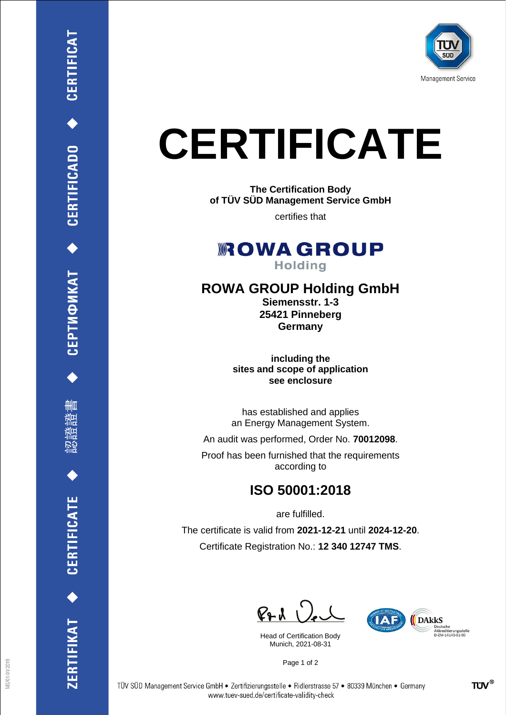

## **CERTIFICATE**

**The Certification Body of TÜV SÜD Management Service GmbH**

certifies that

**ROWAGROUP Holding** 

## **ROWA GROUP Holding GmbH**

**Siemensstr. 1-3 25421 Pinneberg Germany**

**including the sites and scope of application see enclosure**

has established and applies an Energy Management System.

An audit was performed, Order No. **70012098**.

Proof has been furnished that the requirements according to

## **ISO 50001:2018**

are fulfilled.

The certificate is valid from **2021-12-21** until **2024-12-20**. Certificate Registration No.: **12 340 12747 TMS**.

 $PAU$ 

Head of Certification Body Munich, 2021-08-31



Page 1 of 2

◆ CEPTMФИКАТ ◆ CERTIFICADO ◆ CERTIFICAT

刪